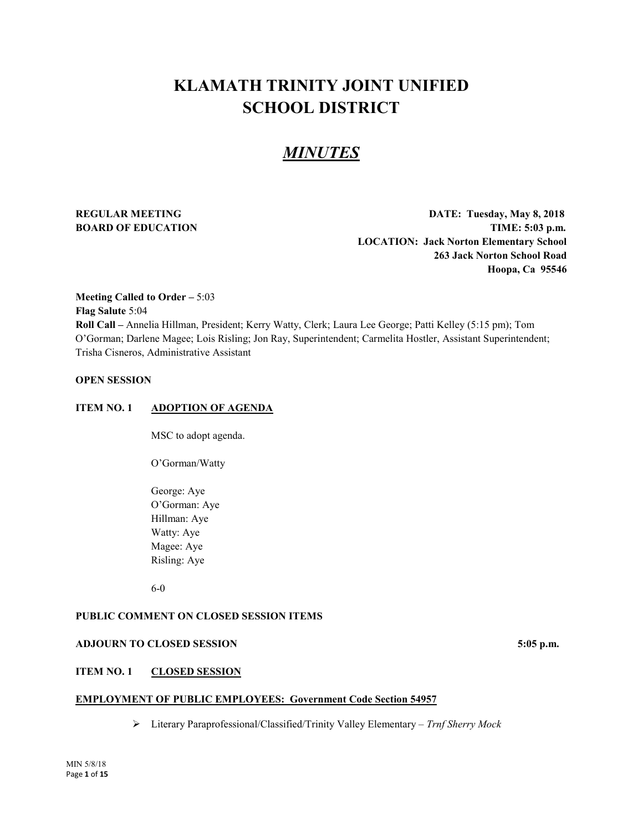# **KLAMATH TRINITY JOINT UNIFIED SCHOOL DISTRICT**

# *MINUTES*

**REGULAR MEETING DATE: Tuesday, May 8, 2018 BOARD OF EDUCATION TIME:** 5:03 p.m. **LOCATION: Jack Norton Elementary School 263 Jack Norton School Road Hoopa, Ca 95546**

# **Meeting Called to Order –** 5:03 **Flag Salute** 5:04 **Roll Call –** Annelia Hillman, President; Kerry Watty, Clerk; Laura Lee George; Patti Kelley (5:15 pm); Tom O'Gorman; Darlene Magee; Lois Risling; Jon Ray, Superintendent; Carmelita Hostler, Assistant Superintendent; Trisha Cisneros, Administrative Assistant

# **OPEN SESSION**

#### **ITEM NO. 1 ADOPTION OF AGENDA**

MSC to adopt agenda.

O'Gorman/Watty

George: Aye O'Gorman: Aye Hillman: Aye Watty: Aye Magee: Aye Risling: Aye

6-0

# **PUBLIC COMMENT ON CLOSED SESSION ITEMS**

# **ADJOURN TO CLOSED SESSION 5:05 p.m.**

# **ITEM NO. 1 CLOSED SESSION**

#### **EMPLOYMENT OF PUBLIC EMPLOYEES: Government Code Section 54957**

Literary Paraprofessional/Classified/Trinity Valley Elementary – *Trnf Sherry Mock*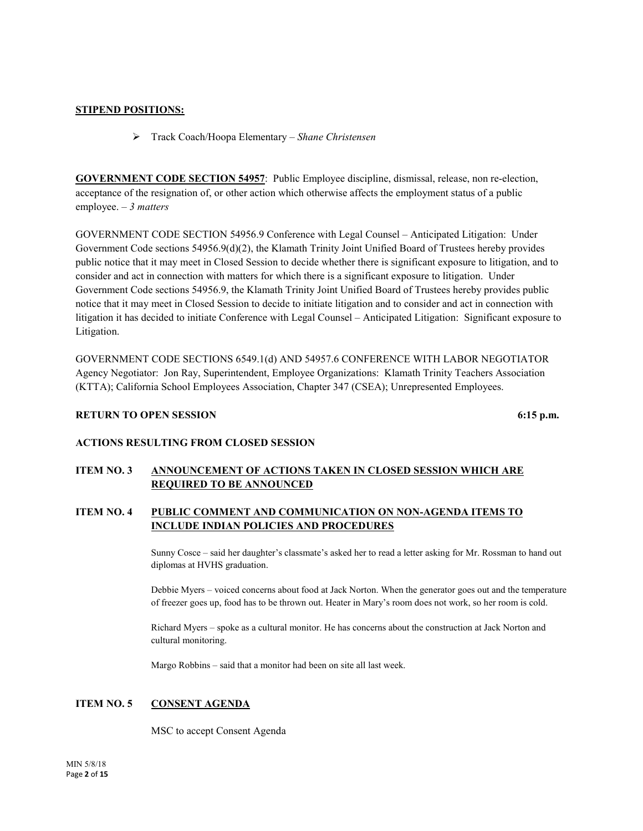# **STIPEND POSITIONS:**

Track Coach/Hoopa Elementary – *Shane Christensen*

**GOVERNMENT CODE SECTION 54957**: Public Employee discipline, dismissal, release, non re-election, acceptance of the resignation of, or other action which otherwise affects the employment status of a public employee. – *3 matters*

GOVERNMENT CODE SECTION 54956.9 Conference with Legal Counsel – Anticipated Litigation: Under Government Code sections 54956.9(d)(2), the Klamath Trinity Joint Unified Board of Trustees hereby provides public notice that it may meet in Closed Session to decide whether there is significant exposure to litigation, and to consider and act in connection with matters for which there is a significant exposure to litigation. Under Government Code sections 54956.9, the Klamath Trinity Joint Unified Board of Trustees hereby provides public notice that it may meet in Closed Session to decide to initiate litigation and to consider and act in connection with litigation it has decided to initiate Conference with Legal Counsel – Anticipated Litigation: Significant exposure to Litigation.

GOVERNMENT CODE SECTIONS 6549.1(d) AND 54957.6 CONFERENCE WITH LABOR NEGOTIATOR Agency Negotiator: Jon Ray, Superintendent, Employee Organizations: Klamath Trinity Teachers Association (KTTA); California School Employees Association, Chapter 347 (CSEA); Unrepresented Employees.

# **RETURN TO OPEN SESSION** 6:15 **p.m.** 6:15 **p.m.**

# **ACTIONS RESULTING FROM CLOSED SESSION**

# **ITEM NO. 3 ANNOUNCEMENT OF ACTIONS TAKEN IN CLOSED SESSION WHICH ARE REQUIRED TO BE ANNOUNCED**

# **ITEM NO. 4 PUBLIC COMMENT AND COMMUNICATION ON NON-AGENDA ITEMS TO INCLUDE INDIAN POLICIES AND PROCEDURES**

Sunny Cosce – said her daughter's classmate's asked her to read a letter asking for Mr. Rossman to hand out diplomas at HVHS graduation.

Debbie Myers – voiced concerns about food at Jack Norton. When the generator goes out and the temperature of freezer goes up, food has to be thrown out. Heater in Mary's room does not work, so her room is cold.

Richard Myers – spoke as a cultural monitor. He has concerns about the construction at Jack Norton and cultural monitoring.

Margo Robbins – said that a monitor had been on site all last week.

# **ITEM NO. 5 CONSENT AGENDA**

MSC to accept Consent Agenda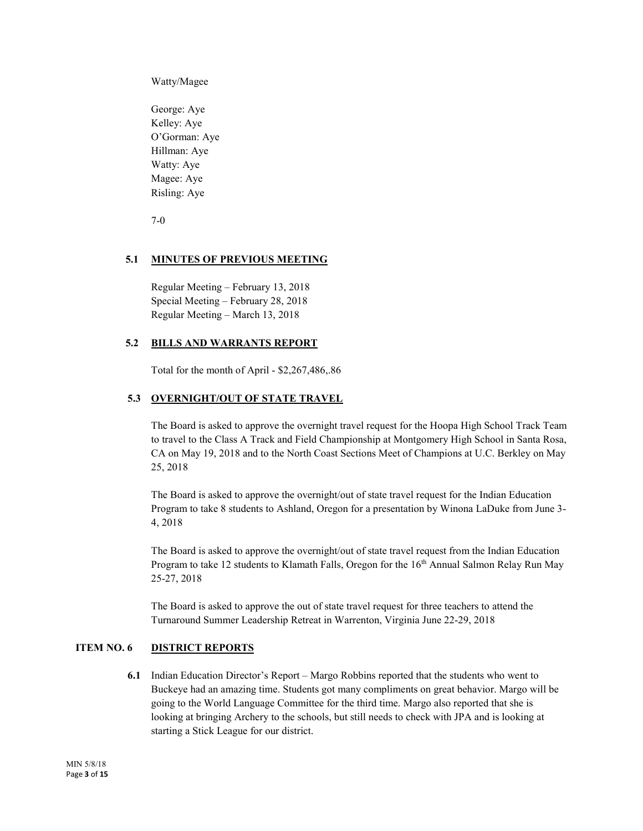Watty/Magee

George: Aye Kelley: Aye O'Gorman: Aye Hillman: Aye Watty: Aye Magee: Aye Risling: Aye

7-0

# **5.1 MINUTES OF PREVIOUS MEETING**

Regular Meeting – February 13, 2018 Special Meeting – February 28, 2018 Regular Meeting – March 13, 2018

#### **5.2 BILLS AND WARRANTS REPORT**

Total for the month of April - \$2,267,486,.86

# **5.3 OVERNIGHT/OUT OF STATE TRAVEL**

The Board is asked to approve the overnight travel request for the Hoopa High School Track Team to travel to the Class A Track and Field Championship at Montgomery High School in Santa Rosa, CA on May 19, 2018 and to the North Coast Sections Meet of Champions at U.C. Berkley on May 25, 2018

The Board is asked to approve the overnight/out of state travel request for the Indian Education Program to take 8 students to Ashland, Oregon for a presentation by Winona LaDuke from June 3- 4, 2018

The Board is asked to approve the overnight/out of state travel request from the Indian Education Program to take 12 students to Klamath Falls, Oregon for the 16<sup>th</sup> Annual Salmon Relay Run May 25-27, 2018

The Board is asked to approve the out of state travel request for three teachers to attend the Turnaround Summer Leadership Retreat in Warrenton, Virginia June 22-29, 2018

# **ITEM NO. 6 DISTRICT REPORTS**

**6.1** Indian Education Director's Report – Margo Robbins reported that the students who went to Buckeye had an amazing time. Students got many compliments on great behavior. Margo will be going to the World Language Committee for the third time. Margo also reported that she is looking at bringing Archery to the schools, but still needs to check with JPA and is looking at starting a Stick League for our district.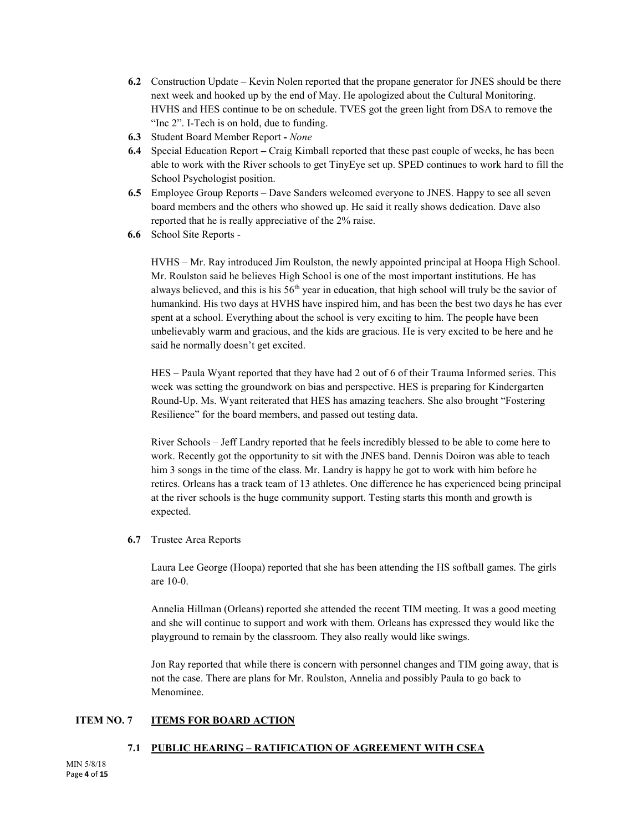- **6.2** Construction Update Kevin Nolen reported that the propane generator for JNES should be there next week and hooked up by the end of May. He apologized about the Cultural Monitoring. HVHS and HES continue to be on schedule. TVES got the green light from DSA to remove the "Inc 2". I-Tech is on hold, due to funding.
- **6.3** Student Board Member Report **-** *None*
- **6.4** Special Education Report **–** Craig Kimball reported that these past couple of weeks, he has been able to work with the River schools to get TinyEye set up. SPED continues to work hard to fill the School Psychologist position.
- **6.5** Employee Group Reports Dave Sanders welcomed everyone to JNES. Happy to see all seven board members and the others who showed up. He said it really shows dedication. Dave also reported that he is really appreciative of the 2% raise.
- **6.6** School Site Reports -

HVHS – Mr. Ray introduced Jim Roulston, the newly appointed principal at Hoopa High School. Mr. Roulston said he believes High School is one of the most important institutions. He has always believed, and this is his  $56<sup>th</sup>$  year in education, that high school will truly be the savior of humankind. His two days at HVHS have inspired him, and has been the best two days he has ever spent at a school. Everything about the school is very exciting to him. The people have been unbelievably warm and gracious, and the kids are gracious. He is very excited to be here and he said he normally doesn't get excited.

HES – Paula Wyant reported that they have had 2 out of 6 of their Trauma Informed series. This week was setting the groundwork on bias and perspective. HES is preparing for Kindergarten Round-Up. Ms. Wyant reiterated that HES has amazing teachers. She also brought "Fostering Resilience" for the board members, and passed out testing data.

River Schools – Jeff Landry reported that he feels incredibly blessed to be able to come here to work. Recently got the opportunity to sit with the JNES band. Dennis Doiron was able to teach him 3 songs in the time of the class. Mr. Landry is happy he got to work with him before he retires. Orleans has a track team of 13 athletes. One difference he has experienced being principal at the river schools is the huge community support. Testing starts this month and growth is expected.

**6.7** Trustee Area Reports

Laura Lee George (Hoopa) reported that she has been attending the HS softball games. The girls are 10-0.

Annelia Hillman (Orleans) reported she attended the recent TIM meeting. It was a good meeting and she will continue to support and work with them. Orleans has expressed they would like the playground to remain by the classroom. They also really would like swings.

Jon Ray reported that while there is concern with personnel changes and TIM going away, that is not the case. There are plans for Mr. Roulston, Annelia and possibly Paula to go back to Menominee.

# **ITEM NO. 7 ITEMS FOR BOARD ACTION**

# **7.1 PUBLIC HEARING – RATIFICATION OF AGREEMENT WITH CSEA**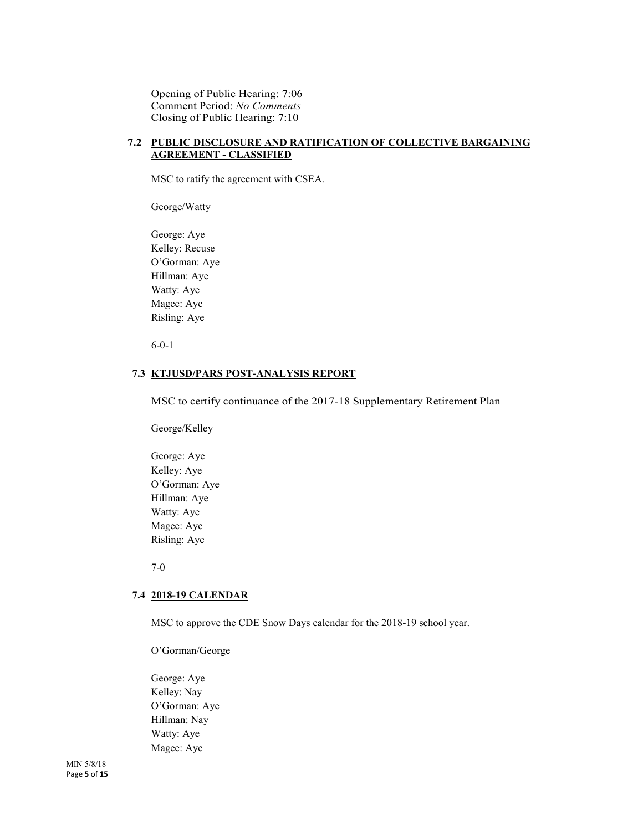Opening of Public Hearing: 7:06 Comment Period: *No Comments* Closing of Public Hearing: 7:10

# **7.2 PUBLIC DISCLOSURE AND RATIFICATION OF COLLECTIVE BARGAINING AGREEMENT - CLASSIFIED**

MSC to ratify the agreement with CSEA.

George/Watty

George: Aye Kelley: Recuse O'Gorman: Aye Hillman: Aye Watty: Aye Magee: Aye Risling: Aye

6-0-1

#### **7.3 KTJUSD/PARS POST-ANALYSIS REPORT**

MSC to certify continuance of the 2017-18 Supplementary Retirement Plan

George/Kelley

George: Aye Kelley: Aye O'Gorman: Aye Hillman: Aye Watty: Aye Magee: Aye Risling: Aye

7-0

#### **7.4 2018-19 CALENDAR**

MSC to approve the CDE Snow Days calendar for the 2018-19 school year.

O'Gorman/George

George: Aye Kelley: Nay O'Gorman: Aye Hillman: Nay Watty: Aye Magee: Aye

MIN 5/8/18 Page **5** of **15**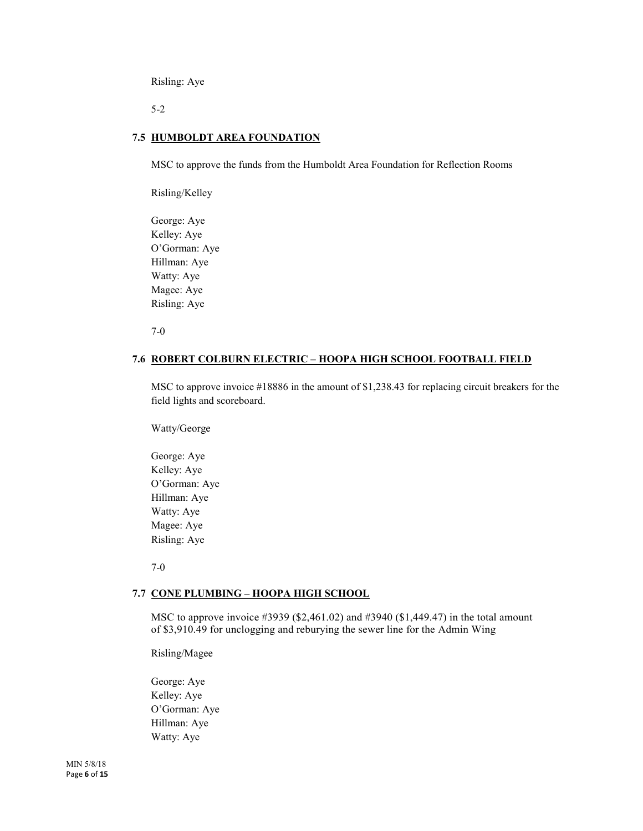Risling: Aye

5-2

#### **7.5 HUMBOLDT AREA FOUNDATION**

MSC to approve the funds from the Humboldt Area Foundation for Reflection Rooms

Risling/Kelley

George: Aye Kelley: Aye O'Gorman: Aye Hillman: Aye Watty: Aye Magee: Aye Risling: Aye

7-0

#### **7.6 ROBERT COLBURN ELECTRIC – HOOPA HIGH SCHOOL FOOTBALL FIELD**

MSC to approve invoice #18886 in the amount of \$1,238.43 for replacing circuit breakers for the field lights and scoreboard.

Watty/George

George: Aye Kelley: Aye O'Gorman: Aye Hillman: Aye Watty: Aye Magee: Aye Risling: Aye

7-0

#### **7.7 CONE PLUMBING – HOOPA HIGH SCHOOL**

MSC to approve invoice #3939 (\$2,461.02) and #3940 (\$1,449.47) in the total amount of \$3,910.49 for unclogging and reburying the sewer line for the Admin Wing

Risling/Magee

George: Aye Kelley: Aye O'Gorman: Aye Hillman: Aye Watty: Aye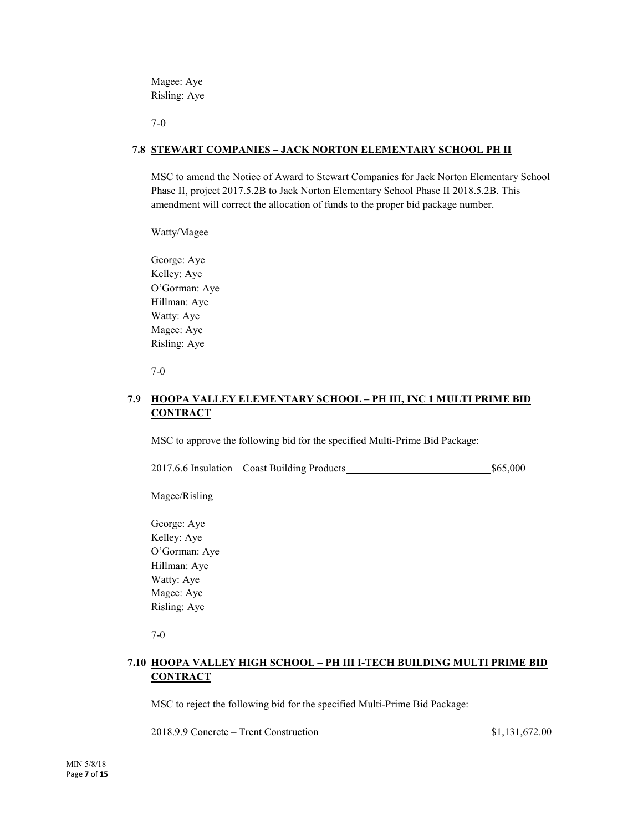Magee: Aye Risling: Aye

7-0

# **7.8 STEWART COMPANIES – JACK NORTON ELEMENTARY SCHOOL PH II**

MSC to amend the Notice of Award to Stewart Companies for Jack Norton Elementary School Phase II, project 2017.5.2B to Jack Norton Elementary School Phase II 2018.5.2B. This amendment will correct the allocation of funds to the proper bid package number.

Watty/Magee

George: Aye Kelley: Aye O'Gorman: Aye Hillman: Aye Watty: Aye Magee: Aye Risling: Aye

7-0

# **7.9 HOOPA VALLEY ELEMENTARY SCHOOL – PH III, INC 1 MULTI PRIME BID CONTRACT**

MSC to approve the following bid for the specified Multi-Prime Bid Package:

2017.6.6 Insulation – Coast Building Products \$65,000

Magee/Risling

George: Aye Kelley: Aye O'Gorman: Aye Hillman: Aye Watty: Aye Magee: Aye Risling: Aye

7-0

# **7.10 HOOPA VALLEY HIGH SCHOOL – PH III I-TECH BUILDING MULTI PRIME BID CONTRACT**

MSC to reject the following bid for the specified Multi-Prime Bid Package:

2018.9.9 Concrete – Trent Construction **\$1,131,672.00** \$1,131,672.00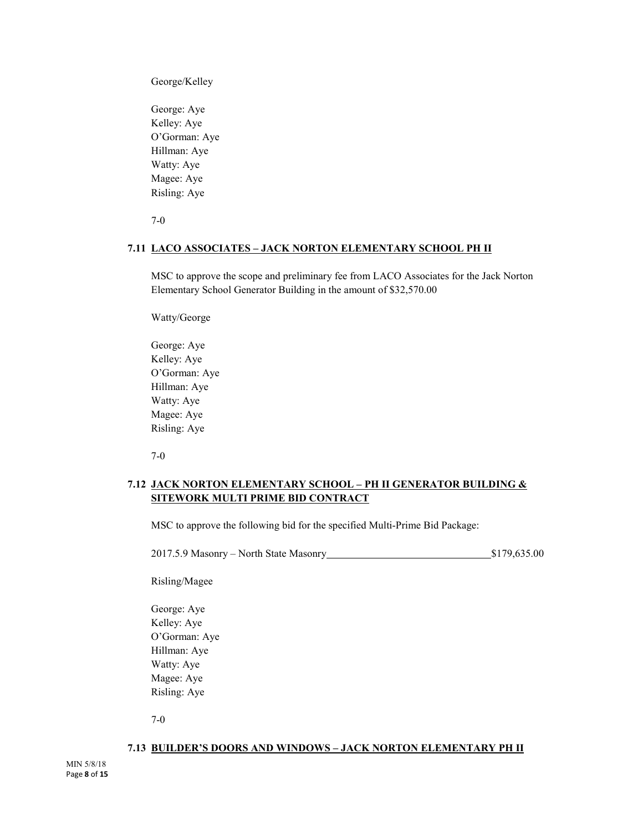George/Kelley

George: Aye Kelley: Aye O'Gorman: Aye Hillman: Aye Watty: Aye Magee: Aye Risling: Aye

7-0

#### **7.11 LACO ASSOCIATES – JACK NORTON ELEMENTARY SCHOOL PH II**

MSC to approve the scope and preliminary fee from LACO Associates for the Jack Norton Elementary School Generator Building in the amount of \$32,570.00

Watty/George

George: Aye Kelley: Aye O'Gorman: Aye Hillman: Aye Watty: Aye Magee: Aye Risling: Aye

7-0

# **7.12 JACK NORTON ELEMENTARY SCHOOL – PH II GENERATOR BUILDING & SITEWORK MULTI PRIME BID CONTRACT**

MSC to approve the following bid for the specified Multi-Prime Bid Package:

2017.5.9 Masonry – North State Masonry 2017.5.9 Masonry \$179,635.00

Risling/Magee

George: Aye Kelley: Aye O'Gorman: Aye Hillman: Aye Watty: Aye Magee: Aye Risling: Aye

7-0

#### **7.13 BUILDER'S DOORS AND WINDOWS – JACK NORTON ELEMENTARY PH II**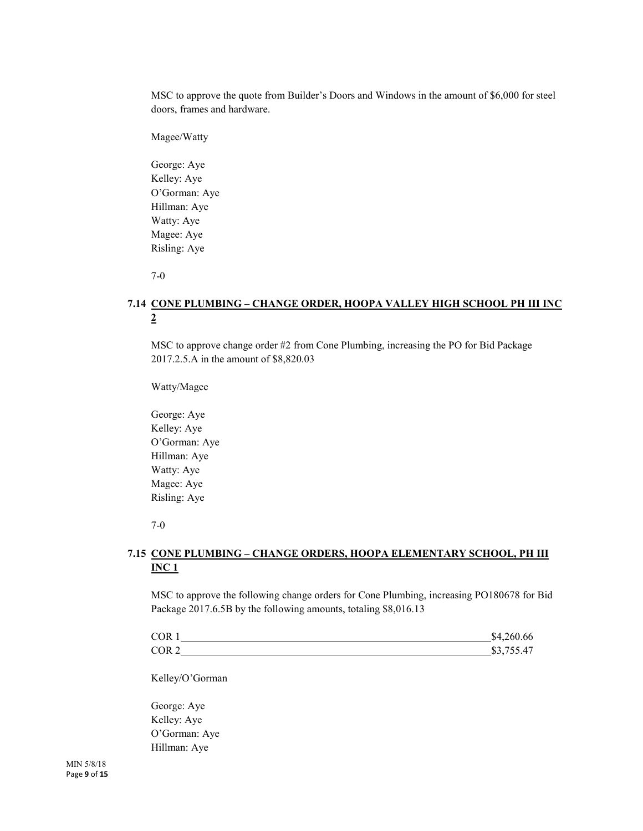MSC to approve the quote from Builder's Doors and Windows in the amount of \$6,000 for steel doors, frames and hardware.

Magee/Watty

George: Aye Kelley: Aye O'Gorman: Aye Hillman: Aye Watty: Aye Magee: Aye Risling: Aye

7-0

# **7.14 CONE PLUMBING – CHANGE ORDER, HOOPA VALLEY HIGH SCHOOL PH III INC 2**

MSC to approve change order #2 from Cone Plumbing, increasing the PO for Bid Package 2017.2.5.A in the amount of \$8,820.03

Watty/Magee

George: Aye Kelley: Aye O'Gorman: Aye Hillman: Aye Watty: Aye Magee: Aye Risling: Aye

7-0

# **7.15 CONE PLUMBING – CHANGE ORDERS, HOOPA ELEMENTARY SCHOOL, PH III INC 1**

MSC to approve the following change orders for Cone Plumbing, increasing PO180678 for Bid Package 2017.6.5B by the following amounts, totaling \$8,016.13

| <b>COR</b>       | \$4,260.66                                 |
|------------------|--------------------------------------------|
| COR <sub>2</sub> | $\overline{A}$<br>ሰኅ<br>$\prime$<br>J.1J.4 |

Kelley/O'Gorman

George: Aye Kelley: Aye O'Gorman: Aye Hillman: Aye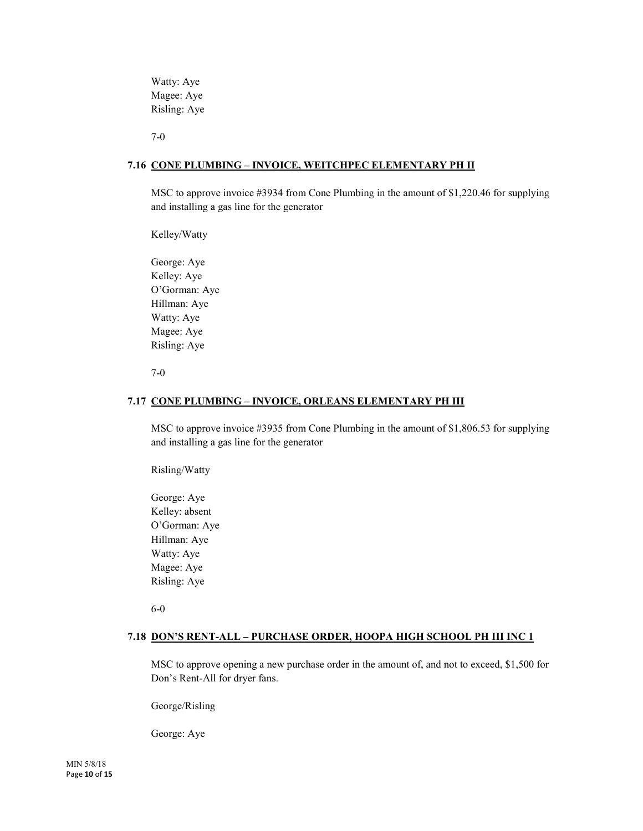Watty: Aye Magee: Aye Risling: Aye

7-0

#### **7.16 CONE PLUMBING – INVOICE, WEITCHPEC ELEMENTARY PH II**

MSC to approve invoice #3934 from Cone Plumbing in the amount of \$1,220.46 for supplying and installing a gas line for the generator

Kelley/Watty

George: Aye Kelley: Aye O'Gorman: Aye Hillman: Aye Watty: Aye Magee: Aye Risling: Aye

7-0

#### **7.17 CONE PLUMBING – INVOICE, ORLEANS ELEMENTARY PH III**

MSC to approve invoice #3935 from Cone Plumbing in the amount of \$1,806.53 for supplying and installing a gas line for the generator

Risling/Watty

George: Aye Kelley: absent O'Gorman: Aye Hillman: Aye Watty: Aye Magee: Aye Risling: Aye

6-0

#### **7.18 DON'S RENT-ALL – PURCHASE ORDER, HOOPA HIGH SCHOOL PH III INC 1**

MSC to approve opening a new purchase order in the amount of, and not to exceed, \$1,500 for Don's Rent-All for dryer fans.

George/Risling

George: Aye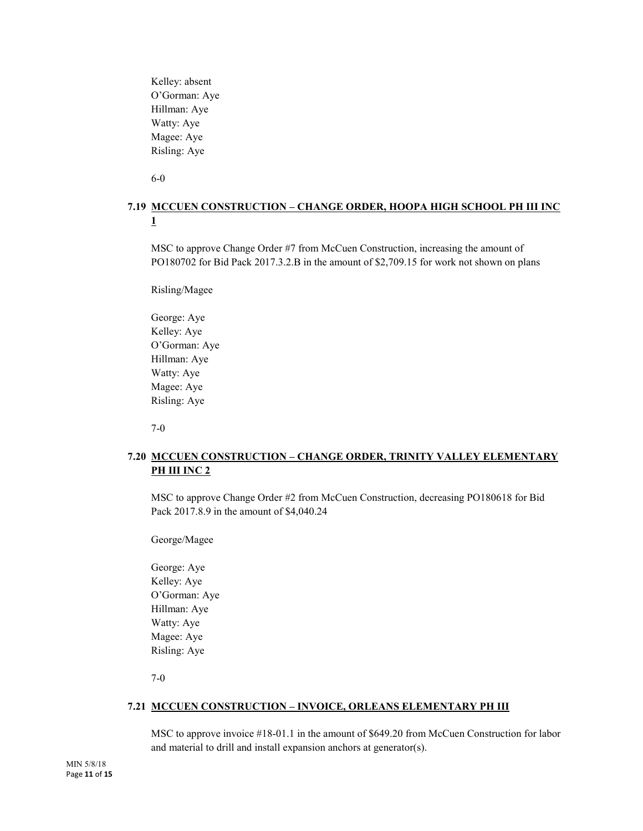Kelley: absent O'Gorman: Aye Hillman: Aye Watty: Aye Magee: Aye Risling: Aye

6-0

# **7.19 MCCUEN CONSTRUCTION – CHANGE ORDER, HOOPA HIGH SCHOOL PH III INC 1**

MSC to approve Change Order #7 from McCuen Construction, increasing the amount of PO180702 for Bid Pack 2017.3.2.B in the amount of \$2,709.15 for work not shown on plans

Risling/Magee

George: Aye Kelley: Aye O'Gorman: Aye Hillman: Aye Watty: Aye Magee: Aye Risling: Aye

7-0

# **7.20 MCCUEN CONSTRUCTION – CHANGE ORDER, TRINITY VALLEY ELEMENTARY PH III INC 2**

MSC to approve Change Order #2 from McCuen Construction, decreasing PO180618 for Bid Pack 2017.8.9 in the amount of \$4,040.24

George/Magee

George: Aye Kelley: Aye O'Gorman: Aye Hillman: Aye Watty: Aye Magee: Aye Risling: Aye

7-0

# **7.21 MCCUEN CONSTRUCTION – INVOICE, ORLEANS ELEMENTARY PH III**

MSC to approve invoice #18-01.1 in the amount of \$649.20 from McCuen Construction for labor and material to drill and install expansion anchors at generator(s).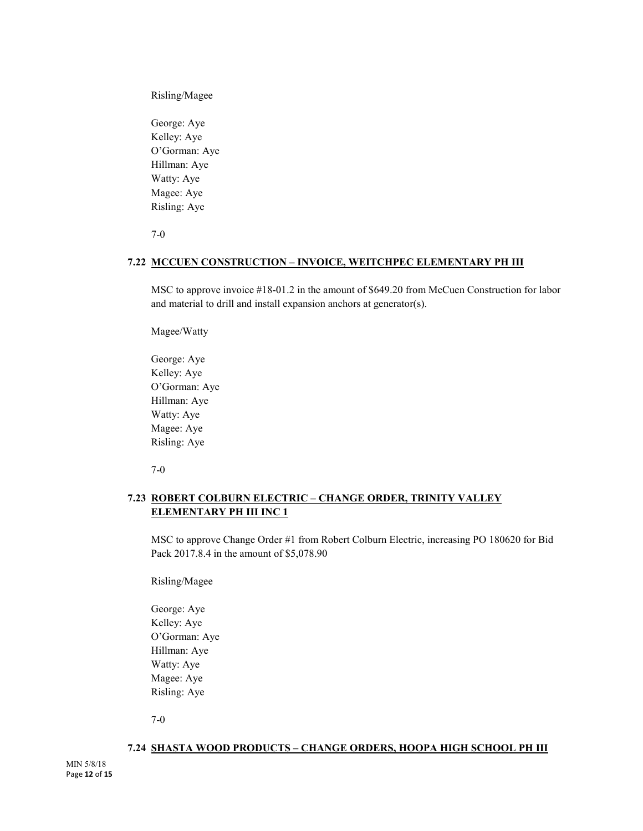Risling/Magee

George: Aye Kelley: Aye O'Gorman: Aye Hillman: Aye Watty: Aye Magee: Aye Risling: Aye

7-0

# **7.22 MCCUEN CONSTRUCTION – INVOICE, WEITCHPEC ELEMENTARY PH III**

MSC to approve invoice #18-01.2 in the amount of \$649.20 from McCuen Construction for labor and material to drill and install expansion anchors at generator(s).

Magee/Watty

George: Aye Kelley: Aye O'Gorman: Aye Hillman: Aye Watty: Aye Magee: Aye Risling: Aye

7-0

# **7.23 ROBERT COLBURN ELECTRIC – CHANGE ORDER, TRINITY VALLEY ELEMENTARY PH III INC 1**

MSC to approve Change Order #1 from Robert Colburn Electric, increasing PO 180620 for Bid Pack 2017.8.4 in the amount of \$5,078.90

Risling/Magee

George: Aye Kelley: Aye O'Gorman: Aye Hillman: Aye Watty: Aye Magee: Aye Risling: Aye

7-0

#### **7.24 SHASTA WOOD PRODUCTS – CHANGE ORDERS, HOOPA HIGH SCHOOL PH III**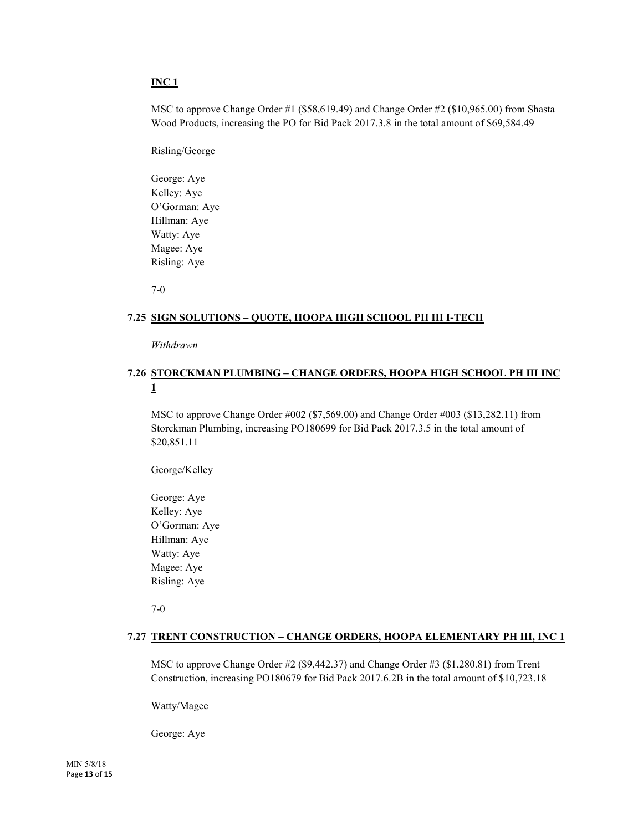# **INC 1**

MSC to approve Change Order #1 (\$58,619.49) and Change Order #2 (\$10,965.00) from Shasta Wood Products, increasing the PO for Bid Pack 2017.3.8 in the total amount of \$69,584.49

Risling/George

George: Aye Kelley: Aye O'Gorman: Aye Hillman: Aye Watty: Aye Magee: Aye Risling: Aye

7-0

#### **7.25 SIGN SOLUTIONS – QUOTE, HOOPA HIGH SCHOOL PH III I-TECH**

*Withdrawn*

# **7.26 STORCKMAN PLUMBING – CHANGE ORDERS, HOOPA HIGH SCHOOL PH III INC 1**

MSC to approve Change Order #002 (\$7,569.00) and Change Order #003 (\$13,282.11) from Storckman Plumbing, increasing PO180699 for Bid Pack 2017.3.5 in the total amount of \$20,851.11

George/Kelley

George: Aye Kelley: Aye O'Gorman: Aye Hillman: Aye Watty: Aye Magee: Aye Risling: Aye

7-0

#### **7.27 TRENT CONSTRUCTION – CHANGE ORDERS, HOOPA ELEMENTARY PH III, INC 1**

MSC to approve Change Order #2 (\$9,442.37) and Change Order #3 (\$1,280.81) from Trent Construction, increasing PO180679 for Bid Pack 2017.6.2B in the total amount of \$10,723.18

Watty/Magee

George: Aye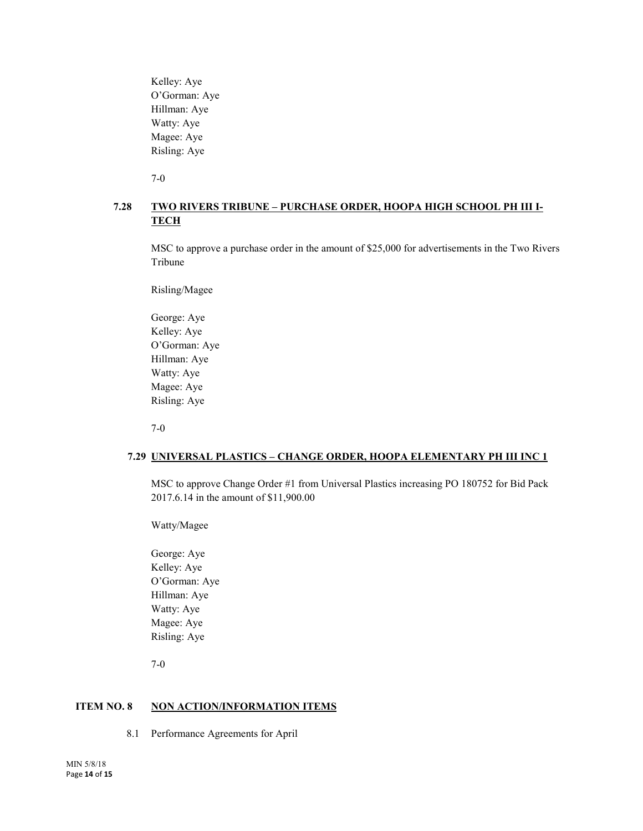Kelley: Aye O'Gorman: Aye Hillman: Aye Watty: Aye Magee: Aye Risling: Aye

7-0

# **7.28 TWO RIVERS TRIBUNE – PURCHASE ORDER, HOOPA HIGH SCHOOL PH III I-TECH**

MSC to approve a purchase order in the amount of \$25,000 for advertisements in the Two Rivers Tribune

Risling/Magee

George: Aye Kelley: Aye O'Gorman: Aye Hillman: Aye Watty: Aye Magee: Aye Risling: Aye

7-0

# **7.29 UNIVERSAL PLASTICS – CHANGE ORDER, HOOPA ELEMENTARY PH III INC 1**

MSC to approve Change Order #1 from Universal Plastics increasing PO 180752 for Bid Pack 2017.6.14 in the amount of \$11,900.00

Watty/Magee

George: Aye Kelley: Aye O'Gorman: Aye Hillman: Aye Watty: Aye Magee: Aye Risling: Aye

7-0

# **ITEM NO. 8 NON ACTION/INFORMATION ITEMS**

8.1 Performance Agreements for April